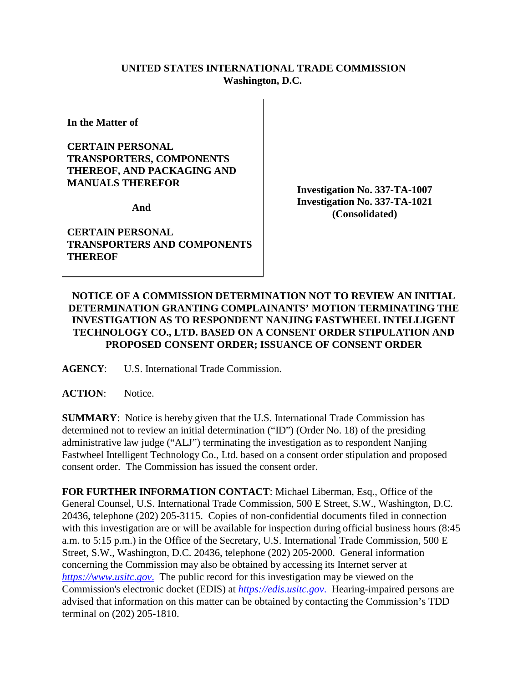## **UNITED STATES INTERNATIONAL TRADE COMMISSION Washington, D.C.**

**In the Matter of** 

## **CERTAIN PERSONAL TRANSPORTERS, COMPONENTS THEREOF, AND PACKAGING AND MANUALS THEREFOR**

**And** 

**CERTAIN PERSONAL TRANSPORTERS AND COMPONENTS THEREOF**

**Investigation No. 337-TA-1007 Investigation No. 337-TA-1021 (Consolidated)**

## **NOTICE OF A COMMISSION DETERMINATION NOT TO REVIEW AN INITIAL DETERMINATION GRANTING COMPLAINANTS' MOTION TERMINATING THE INVESTIGATION AS TO RESPONDENT NANJING FASTWHEEL INTELLIGENT TECHNOLOGY CO., LTD. BASED ON A CONSENT ORDER STIPULATION AND PROPOSED CONSENT ORDER; ISSUANCE OF CONSENT ORDER**

**AGENCY**: U.S. International Trade Commission.

**ACTION**: Notice.

**SUMMARY**: Notice is hereby given that the U.S. International Trade Commission has determined not to review an initial determination ("ID") (Order No. 18) of the presiding administrative law judge ("ALJ") terminating the investigation as to respondent Nanjing Fastwheel Intelligent Technology Co., Ltd. based on a consent order stipulation and proposed consent order. The Commission has issued the consent order.

**FOR FURTHER INFORMATION CONTACT**: Michael Liberman, Esq., Office of the General Counsel, U.S. International Trade Commission, 500 E Street, S.W., Washington, D.C. 20436, telephone (202) 205-3115. Copies of non-confidential documents filed in connection with this investigation are or will be available for inspection during official business hours (8:45) a.m. to 5:15 p.m.) in the Office of the Secretary, U.S. International Trade Commission, 500 E Street, S.W., Washington, D.C. 20436, telephone (202) 205-2000. General information concerning the Commission may also be obtained by accessing its Internet server at *[https://www.usitc.gov](https://www.usitc.gov./)*. The public record for this investigation may be viewed on the Commission's electronic docket (EDIS) at *[https://edis.usitc.gov](https://edis.usitc.gov./)*. Hearing-impaired persons are advised that information on this matter can be obtained by contacting the Commission's TDD terminal on (202) 205-1810.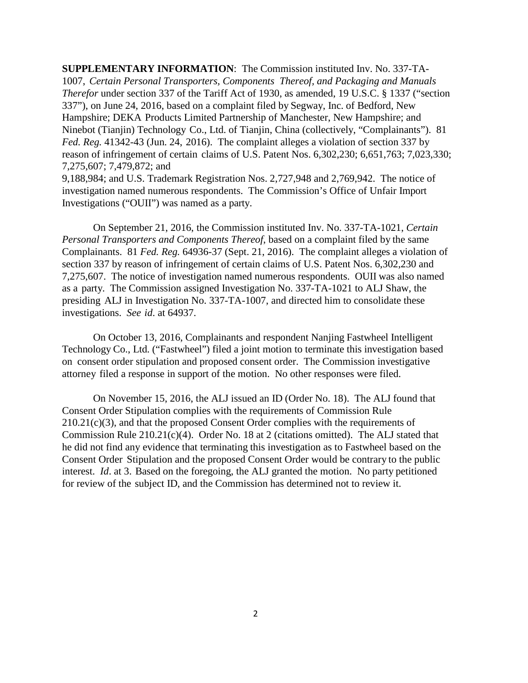**SUPPLEMENTARY INFORMATION**: The Commission instituted Inv. No. 337-TA-1007, *Certain Personal Transporters, Components Thereof, and Packaging and Manuals Therefor* under section 337 of the Tariff Act of 1930, as amended, 19 U.S.C. § 1337 ("section 337"), on June 24, 2016, based on a complaint filed by Segway, Inc. of Bedford, New Hampshire; DEKA Products Limited Partnership of Manchester, New Hampshire; and Ninebot (Tianjin) Technology Co., Ltd. of Tianjin, China (collectively, "Complainants"). 81 *Fed. Reg.* 41342-43 (Jun. 24, 2016). The complaint alleges a violation of section 337 by reason of infringement of certain claims of U.S. Patent Nos. 6,302,230; 6,651,763; 7,023,330; 7,275,607; 7,479,872; and

9,188,984; and U.S. Trademark Registration Nos. 2,727,948 and 2,769,942. The notice of investigation named numerous respondents. The Commission's Office of Unfair Import Investigations ("OUII") was named as a party.

On September 21, 2016, the Commission instituted Inv. No. 337-TA-1021, *Certain Personal Transporters and Components Thereof*, based on a complaint filed by the same Complainants. 81 *Fed. Reg.* 64936-37 (Sept. 21, 2016). The complaint alleges a violation of section 337 by reason of infringement of certain claims of U.S. Patent Nos. 6,302,230 and 7,275,607. The notice of investigation named numerous respondents. OUII was also named as a party. The Commission assigned Investigation No. 337-TA-1021 to ALJ Shaw, the presiding ALJ in Investigation No. 337-TA-1007, and directed him to consolidate these investigations. *See id*. at 64937.

On October 13, 2016, Complainants and respondent Nanjing Fastwheel Intelligent Technology Co., Ltd. ("Fastwheel") filed a joint motion to terminate this investigation based on consent order stipulation and proposed consent order. The Commission investigative attorney filed a response in support of the motion. No other responses were filed.

On November 15, 2016, the ALJ issued an ID (Order No. 18). The ALJ found that Consent Order Stipulation complies with the requirements of Commission Rule 210.21(c)(3), and that the proposed Consent Order complies with the requirements of Commission Rule 210.21(c)(4). Order No. 18 at 2 (citations omitted). The ALJ stated that he did not find any evidence that terminating this investigation as to Fastwheel based on the Consent Order Stipulation and the proposed Consent Order would be contrary to the public interest. *Id*. at 3. Based on the foregoing, the ALJ granted the motion. No party petitioned for review of the subject ID, and the Commission has determined not to review it.